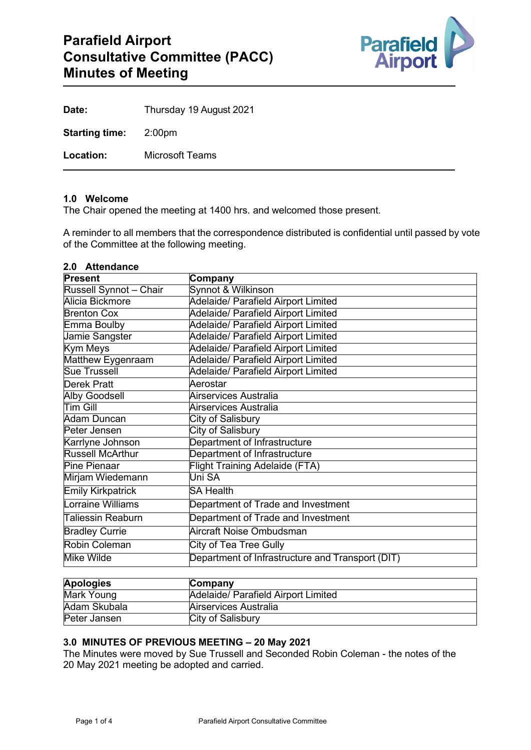

| Date:                 | Thursday 19 August 2021 |
|-----------------------|-------------------------|
| <b>Starting time:</b> | 2:00pm                  |
| Location:             | Microsoft Teams         |

#### **1.0 Welcome**

**2.0 Attendance**

The Chair opened the meeting at 1400 hrs. and welcomed those present.

A reminder to all members that the correspondence distributed is confidential until passed by vote of the Committee at the following meeting.

| <b>z.u Attengance</b><br><b>Present</b>          |  |  |
|--------------------------------------------------|--|--|
| Company                                          |  |  |
| Synnot & Wilkinson                               |  |  |
| Adelaide/ Parafield Airport Limited              |  |  |
| Adelaide/ Parafield Airport Limited              |  |  |
| Adelaide/ Parafield Airport Limited              |  |  |
| Adelaide/ Parafield Airport Limited              |  |  |
| Adelaide/ Parafield Airport Limited              |  |  |
| Adelaide/ Parafield Airport Limited              |  |  |
| Adelaide/ Parafield Airport Limited              |  |  |
| Aerostar                                         |  |  |
| Airservices Australia                            |  |  |
| Airservices Australia                            |  |  |
| <b>City of Salisbury</b>                         |  |  |
| <b>City of Salisbury</b>                         |  |  |
| Department of Infrastructure                     |  |  |
| Department of Infrastructure                     |  |  |
| <b>Flight Training Adelaide (FTA)</b>            |  |  |
| Uni SA                                           |  |  |
| <b>SA Health</b>                                 |  |  |
| Department of Trade and Investment               |  |  |
| Department of Trade and Investment               |  |  |
| Aircraft Noise Ombudsman                         |  |  |
| <b>City of Tea Tree Gully</b>                    |  |  |
| Department of Infrastructure and Transport (DIT) |  |  |
|                                                  |  |  |

| <b>Apologies</b> | Company                             |  |
|------------------|-------------------------------------|--|
| Mark Young       | Adelaide/ Parafield Airport Limited |  |
| Adam Skubala     | Airservices Australia               |  |
| Peter Jansen     | City of Salisbury                   |  |

### **3.0 MINUTES OF PREVIOUS MEETING – 20 May 2021**

The Minutes were moved by Sue Trussell and Seconded Robin Coleman - the notes of the 20 May 2021 meeting be adopted and carried.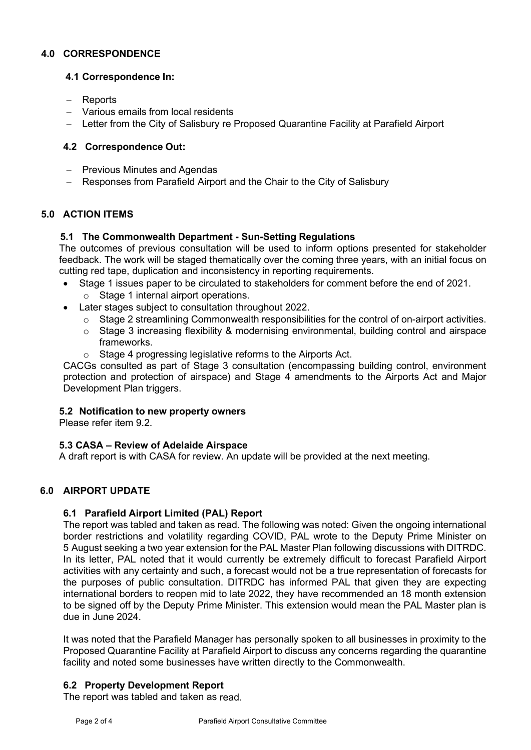### **4.0 CORRESPONDENCE**

### **4.1 Correspondence In:**

- − Reports
- − Various emails from local residents
- − Letter from the City of Salisbury re Proposed Quarantine Facility at Parafield Airport

### **4.2 Correspondence Out:**

- − Previous Minutes and Agendas
- − Responses from Parafield Airport and the Chair to the City of Salisbury

# **5.0 ACTION ITEMS**

### **5.1 The Commonwealth Department - Sun-Setting Regulations**

The outcomes of previous consultation will be used to inform options presented for stakeholder feedback. The work will be staged thematically over the coming three years, with an initial focus on cutting red tape, duplication and inconsistency in reporting requirements.

- Stage 1 issues paper to be circulated to stakeholders for comment before the end of 2021. o Stage 1 internal airport operations.
- Later stages subject to consultation throughout 2022.
	- $\circ$  Stage 2 streamlining Commonwealth responsibilities for the control of on-airport activities.
	- o Stage 3 increasing flexibility & modernising environmental, building control and airspace frameworks.
	- o Stage 4 progressing legislative reforms to the Airports Act.

CACGs consulted as part of Stage 3 consultation (encompassing building control, environment protection and protection of airspace) and Stage 4 amendments to the Airports Act and Major Development Plan triggers.

### **5.2 Notification to new property owners**

Please refer item 9.2

### **5.3 CASA – Review of Adelaide Airspace**

A draft report is with CASA for review. An update will be provided at the next meeting.

# **6.0 AIRPORT UPDATE**

### **6.1 Parafield Airport Limited (PAL) Report**

The report was tabled and taken as read. The following was noted: Given the ongoing international border restrictions and volatility regarding COVID, PAL wrote to the Deputy Prime Minister on 5 August seeking a two year extension for the PAL Master Plan following discussions with DITRDC. In its letter, PAL noted that it would currently be extremely difficult to forecast Parafield Airport activities with any certainty and such, a forecast would not be a true representation of forecasts for the purposes of public consultation. DITRDC has informed PAL that given they are expecting international borders to reopen mid to late 2022, they have recommended an 18 month extension to be signed off by the Deputy Prime Minister. This extension would mean the PAL Master plan is due in June 2024.

It was noted that the Parafield Manager has personally spoken to all businesses in proximity to the Proposed Quarantine Facility at Parafield Airport to discuss any concerns regarding the quarantine facility and noted some businesses have written directly to the Commonwealth.

# **6.2 Property Development Report**

The report was tabled and taken as read.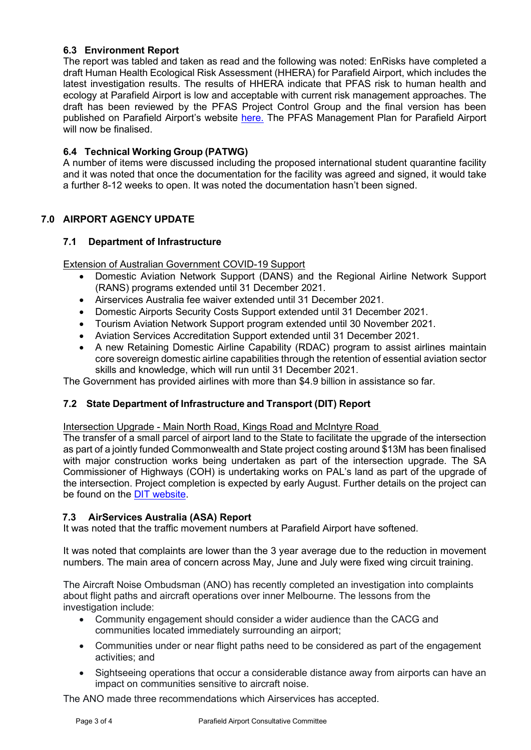### **6.3 Environment Report**

The report was tabled and taken as read and the following was noted: EnRisks have completed a draft Human Health Ecological Risk Assessment (HHERA) for Parafield Airport, which includes the latest investigation results. The results of HHERA indicate that PFAS risk to human health and ecology at Parafield Airport is low and acceptable with current risk management approaches. The draft has been reviewed by the PFAS Project Control Group and the final version has been published on Parafield Airport's website [here.](https://www.parafieldairport.com.au/environment/environment) The PFAS Management Plan for Parafield Airport will now be finalised.

### **6.4 Technical Working Group (PATWG)**

A number of items were discussed including the proposed international student quarantine facility and it was noted that once the documentation for the facility was agreed and signed, it would take a further 8-12 weeks to open. It was noted the documentation hasn't been signed.

# **7.0 AIRPORT AGENCY UPDATE**

### **7.1 Department of Infrastructure**

Extension of Australian Government COVID-19 Support

- Domestic Aviation Network Support (DANS) and the Regional Airline Network Support (RANS) programs extended until 31 December 2021.
- Airservices Australia fee waiver extended until 31 December 2021.
- Domestic Airports Security Costs Support extended until 31 December 2021.
- Tourism Aviation Network Support program extended until 30 November 2021.
- Aviation Services Accreditation Support extended until 31 December 2021.
- A new Retaining Domestic Airline Capability (RDAC) program to assist airlines maintain core sovereign domestic airline capabilities through the retention of essential aviation sector skills and knowledge, which will run until 31 December 2021.

The Government has provided airlines with more than \$4.9 billion in assistance so far.

### **7.2 State Department of Infrastructure and Transport (DIT) Report**

Intersection Upgrade - Main North Road, Kings Road and McIntyre Road

The transfer of a small parcel of airport land to the State to facilitate the upgrade of the intersection as part of a jointly funded Commonwealth and State project costing around \$13M has been finalised with major construction works being undertaken as part of the intersection upgrade. The SA Commissioner of Highways (COH) is undertaking works on PAL's land as part of the upgrade of the intersection. Project completion is expected by early August. Further details on the project can be found on the [DIT website.](https://www.dpti.sa.gov.au/infrastructure/road_projects/main_north_road,_kings_and_mcintyre_roads_intersection_upgrade)

### **7.3 AirServices Australia (ASA) Report**

It was noted that the traffic movement numbers at Parafield Airport have softened.

It was noted that complaints are lower than the 3 year average due to the reduction in movement numbers. The main area of concern across May, June and July were fixed wing circuit training.

The Aircraft Noise Ombudsman (ANO) has recently completed an investigation into complaints about flight paths and aircraft operations over inner Melbourne. The lessons from the investigation include:

- Community engagement should consider a wider audience than the CACG and communities located immediately surrounding an airport;
- Communities under or near flight paths need to be considered as part of the engagement activities; and
- Sightseeing operations that occur a considerable distance away from airports can have an impact on communities sensitive to aircraft noise.

The ANO made three recommendations which Airservices has accepted.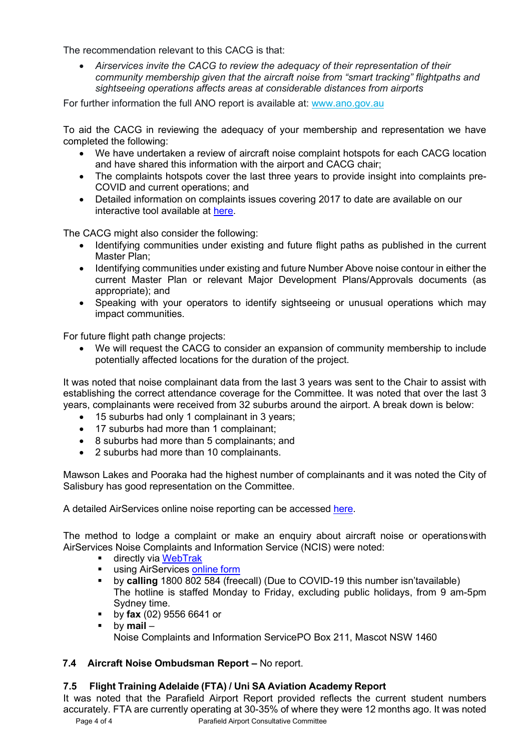The recommendation relevant to this CACG is that:

• *Airservices invite the CACG to review the adequacy of their representation of their community membership given that the aircraft noise from "smart tracking" flightpaths and sightseeing operations affects areas at considerable distances from airports*

For further information the full ANO report is available at: www.ano.gov.au

To aid the CACG in reviewing the adequacy of your membership and representation we have completed the following:

- We have undertaken a review of aircraft noise complaint hotspots for each CACG location and have shared this information with the airport and CACG chair;
- The complaints hotspots cover the last three years to provide insight into complaints pre-COVID and current operations; and
- Detailed information on complaints issues covering 2017 to date are available on our interactive tool available at [here.](https://www.airservicesaustralia.com/community/environment/aircraft-noise/airports/)

The CACG might also consider the following:

- Identifying communities under existing and future flight paths as published in the current Master Plan;
- Identifying communities under existing and future Number Above noise contour in either the current Master Plan or relevant Major Development Plans/Approvals documents (as appropriate); and
- Speaking with your operators to identify sightseeing or unusual operations which may impact communities.

For future flight path change projects:

• We will request the CACG to consider an expansion of community membership to include potentially affected locations for the duration of the project.

It was noted that noise complainant data from the last 3 years was sent to the Chair to assist with establishing the correct attendance coverage for the Committee. It was noted that over the last 3 years, complainants were received from 32 suburbs around the airport. A break down is below:

- 15 suburbs had only 1 complainant in 3 years;
- 17 suburbs had more than 1 complainant;
- 8 suburbs had more than 5 complainants; and
- 2 suburbs had more than 10 complainants.

Mawson Lakes and Pooraka had the highest number of complainants and it was noted the City of Salisbury has good representation on the Committee.

A detailed AirServices online noise reporting can be accessed [here.](http://www.airservicesaustralia.com/aircraftnoise/airports/)

The method to lodge a complaint or make an enquiry about aircraft noise or operationswith AirServices Noise Complaints and Information Service (NCIS) were noted:

- **directly via [WebTrak](http://www.airservicesaustralia.com/aircraftnoise/webtrak/)**
- **using AirServices [online](http://www.airservicesaustralia.com/aircraftnoise/about-making-a-complaint/how-to-make-a-complaint/) form**
- by **calling** 1800 802 584 (freecall) (Due to COVID-19 this number isn'tavailable) The hotline is staffed Monday to Friday, excluding public holidays, from 9 am-5pm Sydney time.
- by **fax** (02) 9556 6641 or
- by **mail**  Noise Complaints and Information ServicePO Box 211, Mascot NSW 1460

# **7.4 Aircraft Noise Ombudsman Report –** No report.

# **7.5 Flight Training Adelaide (FTA) / Uni SA Aviation Academy Report**

It was noted that the Parafield Airport Report provided reflects the current student numbers accurately. FTA are currently operating at 30-35% of where they were 12 months ago. It was noted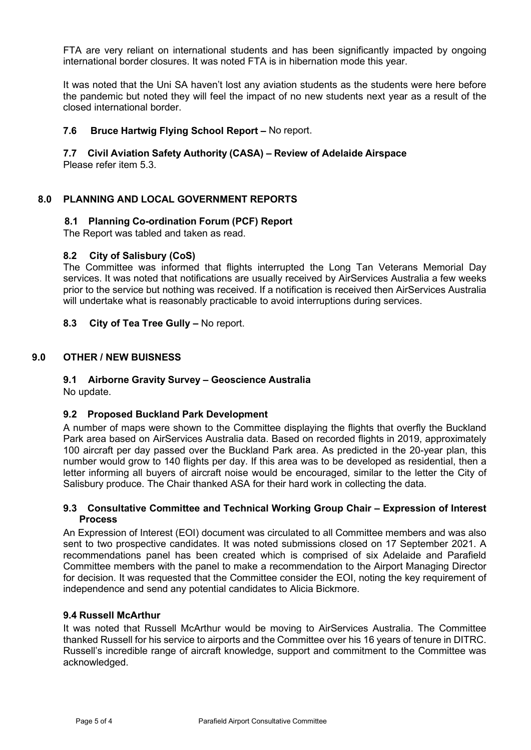FTA are very reliant on international students and has been significantly impacted by ongoing international border closures. It was noted FTA is in hibernation mode this year.

It was noted that the Uni SA haven't lost any aviation students as the students were here before the pandemic but noted they will feel the impact of no new students next year as a result of the closed international border.

### **7.6 Bruce Hartwig Flying School Report –** No report.

# **7.7 Civil Aviation Safety Authority (CASA) – Review of Adelaide Airspace**

Please refer item 5.3.

### **8.0 PLANNING AND LOCAL GOVERNMENT REPORTS**

### **8.1 Planning Co-ordination Forum (PCF) Report**

The Report was tabled and taken as read.

### **8.2 City of Salisbury (CoS)**

The Committee was informed that flights interrupted the Long Tan Veterans Memorial Day services. It was noted that notifications are usually received by AirServices Australia a few weeks prior to the service but nothing was received. If a notification is received then AirServices Australia will undertake what is reasonably practicable to avoid interruptions during services.

### **8.3 City of Tea Tree Gully –** No report.

### **9.0 OTHER / NEW BUISNESS**

### **9.1 Airborne Gravity Survey – Geoscience Australia**

No update.

### **9.2 Proposed Buckland Park Development**

A number of maps were shown to the Committee displaying the flights that overfly the Buckland Park area based on AirServices Australia data. Based on recorded flights in 2019, approximately 100 aircraft per day passed over the Buckland Park area. As predicted in the 20-year plan, this number would grow to 140 flights per day. If this area was to be developed as residential, then a letter informing all buyers of aircraft noise would be encouraged, similar to the letter the City of Salisbury produce. The Chair thanked ASA for their hard work in collecting the data.

#### **9.3 Consultative Committee and Technical Working Group Chair – Expression of Interest Process**

An Expression of Interest (EOI) document was circulated to all Committee members and was also sent to two prospective candidates. It was noted submissions closed on 17 September 2021. A recommendations panel has been created which is comprised of six Adelaide and Parafield Committee members with the panel to make a recommendation to the Airport Managing Director for decision. It was requested that the Committee consider the EOI, noting the key requirement of independence and send any potential candidates to Alicia Bickmore.

#### **9.4 Russell McArthur**

It was noted that Russell McArthur would be moving to AirServices Australia. The Committee thanked Russell for his service to airports and the Committee over his 16 years of tenure in DITRC. Russell's incredible range of aircraft knowledge, support and commitment to the Committee was acknowledged.